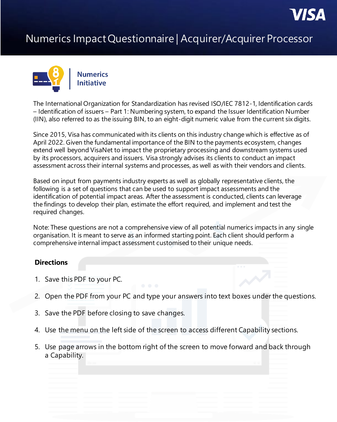

### Numerics Impact Questionnaire | Acquirer/Acquirer Processor



The International Organization for Standardization has revised ISO/IEC 7812-1, Identification cards – Identification of issuers – Part 1: Numbering system, to expand the Issuer Identification Number (IIN), also referred to as the issuing BIN, to an eight-digit numeric value from the current six digits.

Since 2015, Visa has communicated with its clients on this industry change which is effective as of April 2022. Given the fundamental importance of the BIN to the payments ecosystem, changes extend well beyond VisaNet to impact the proprietary processing and downstream systems used by its processors, acquirers and issuers. Visa strongly advises its clients to conduct an impact assessment across their internal systems and processes, as well as with their vendors and clients.

Based on input from payments industry experts as well as globally representative clients, the following is a set of questions that can be used to support impact assessments and the identification of potential impact areas. After the assessment is conducted, clients can leverage the findings to develop their plan, estimate the effort required, and implement and test the required changes.

Note: These questions are not a comprehensive view of all potential numerics impacts in any single organisation. It is meant to serve as an informed starting point. Each client should perform a comprehensive internal impact assessment customised to their unique needs.

#### **Directions**

- 1. Save this PDF to your PC.
- 2. Open the PDF from your PC and type your answers into text boxes under the questions.
- 3. Save the PDF before closing to save changes.
- 4. Use the menu on the left side of the screen to access different Capability sections.
- 5. Use page arrows in the bottom right of the screen to move forward and back through a Capability.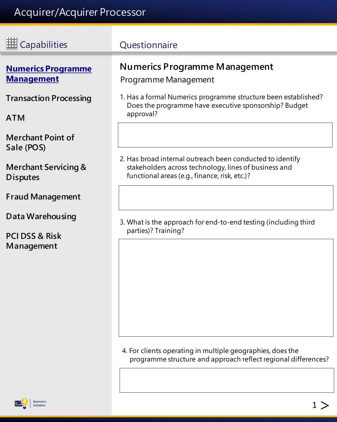<span id="page-1-0"></span>

| <b>HE Capabilities</b>                                                    | Questionnaire                                                                                                                        |  |  |  |
|---------------------------------------------------------------------------|--------------------------------------------------------------------------------------------------------------------------------------|--|--|--|
| <b>Numerics Programme</b><br><b>Management</b>                            | <b>Numerics Programme Management</b><br>Programme Management                                                                         |  |  |  |
| <b>Transaction Processing</b><br><b>ATM</b>                               | 1. Has a formal Numerics programme structure been established?<br>Does the programme have executive sponsorship? Budget<br>approval? |  |  |  |
| <b>Merchant Point of</b><br>Sale (POS)<br><b>Merchant Servicing &amp;</b> | 2. Has broad internal outreach been conducted to identify<br>stakeholders across technology, lines of business and                   |  |  |  |
| <b>Disputes</b><br><b>Fraud Management</b>                                | functional areas (e.g., finance, risk, etc.)?                                                                                        |  |  |  |
| <b>Data Warehousing</b><br><b>PCI DSS &amp; Risk</b><br>Management        | 3. What is the approach for end-to-end testing (including third<br>parties)? Training?                                               |  |  |  |
|                                                                           |                                                                                                                                      |  |  |  |
|                                                                           |                                                                                                                                      |  |  |  |

4. For clients operating in multiple geographies, does the programme structure and approach reflect regional differences?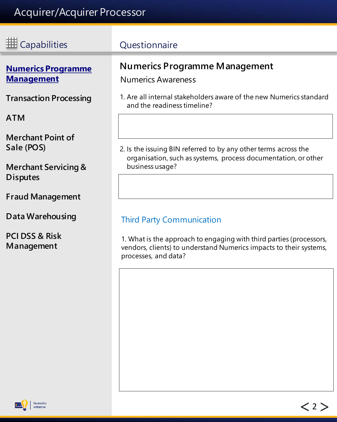<span id="page-2-0"></span>

| <b>HE Capabilities</b>                             | Questionnaire                                                                                                                                                     |  |  |
|----------------------------------------------------|-------------------------------------------------------------------------------------------------------------------------------------------------------------------|--|--|
| <b>Numerics Programme</b><br><b>Management</b>     | <b>Numerics Programme Management</b><br><b>Numerics Awareness</b>                                                                                                 |  |  |
| <b>Transaction Processing</b>                      | 1. Are all internal stakeholders aware of the new Numerics standard<br>and the readiness timeline?                                                                |  |  |
| <b>ATM</b>                                         |                                                                                                                                                                   |  |  |
| <b>Merchant Point of</b><br>Sale (POS)             | 2. Is the issuing BIN referred to by any other terms across the<br>organisation, such as systems, process documentation, or other                                 |  |  |
| <b>Merchant Servicing &amp;</b><br><b>Disputes</b> | business usage?                                                                                                                                                   |  |  |
| <b>Fraud Management</b>                            |                                                                                                                                                                   |  |  |
| <b>Data Warehousing</b>                            | <b>Third Party Communication</b>                                                                                                                                  |  |  |
| <b>PCI DSS &amp; Risk</b><br>Management            | 1. What is the approach to engaging with third parties (processors,<br>vendors, clients) to understand Numerics impacts to their systems,<br>processes, and data? |  |  |
|                                                    |                                                                                                                                                                   |  |  |

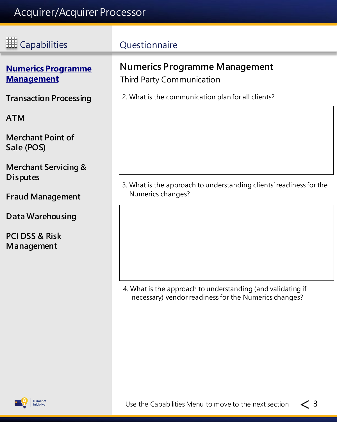| <b>III</b> Capabilities                            | Questionnaire                                                            |
|----------------------------------------------------|--------------------------------------------------------------------------|
| <b>Numerics Programme</b><br><b>Management</b>     | <b>Numerics Programme Management</b><br><b>Third Party Communication</b> |
| <b>Transaction Processing</b>                      | 2. What is the communication plan for all clients?                       |
| ATM                                                |                                                                          |
| <b>Merchant Point of</b><br>Sale (POS)             |                                                                          |
| <b>Merchant Servicing &amp;</b><br><b>Disputes</b> | 3. What is the approach to understanding clients' readiness for the      |
| <b>Fraud Management</b>                            | Numerics changes?                                                        |
| Data Warehousing                                   |                                                                          |
| <b>PCI DSS &amp; Risk</b><br>Management            |                                                                          |
|                                                    |                                                                          |

4. What is the approach to understanding (and validating if necessary) vendor readiness for the Numerics changes?

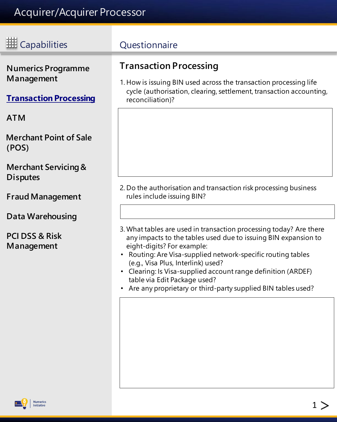<span id="page-4-0"></span>

| <b>HE</b> Capabilities                                                   | Questionnaire                                                                                                                                                                                                                                                                                                                                                                                                                             |
|--------------------------------------------------------------------------|-------------------------------------------------------------------------------------------------------------------------------------------------------------------------------------------------------------------------------------------------------------------------------------------------------------------------------------------------------------------------------------------------------------------------------------------|
| <b>Numerics Programme</b><br>Management<br><b>Transaction Processing</b> | <b>Transaction Processing</b><br>1. How is issuing BIN used across the transaction processing life<br>cycle (authorisation, clearing, settlement, transaction accounting,<br>reconciliation)?                                                                                                                                                                                                                                             |
| <b>ATM</b>                                                               |                                                                                                                                                                                                                                                                                                                                                                                                                                           |
| <b>Merchant Point of Sale</b><br>(POS)                                   |                                                                                                                                                                                                                                                                                                                                                                                                                                           |
| <b>Merchant Servicing &amp;</b><br><b>Disputes</b>                       |                                                                                                                                                                                                                                                                                                                                                                                                                                           |
| <b>Fraud Management</b>                                                  | 2. Do the authorisation and transaction risk processing business<br>rules include issuing BIN?                                                                                                                                                                                                                                                                                                                                            |
| Data Warehousing                                                         |                                                                                                                                                                                                                                                                                                                                                                                                                                           |
| <b>PCI DSS &amp; Risk</b><br>Management                                  | 3. What tables are used in transaction processing today? Are there<br>any impacts to the tables used due to issuing BIN expansion to<br>eight-digits? For example:<br>• Routing: Are Visa-supplied network-specific routing tables<br>(e.g., Visa Plus, Interlink) used?<br>• Clearing: Is Visa-supplied account range definition (ARDEF)<br>table via Edit Package used?<br>Are any proprietary or third-party supplied BIN tables used? |
|                                                                          |                                                                                                                                                                                                                                                                                                                                                                                                                                           |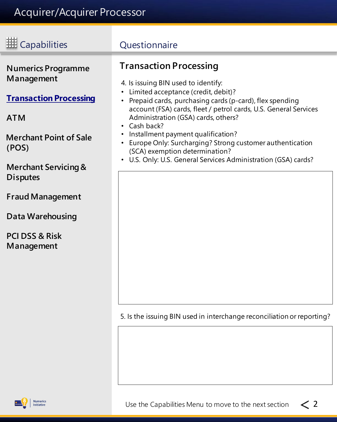Ξ

<span id="page-5-0"></span>

| <b>HE</b> Capabilities                                                                                                                                                                                                                                                                  | Questionnaire                                                                                                                                                                                                                                                                                                                                                                                                                                                                                       |  |  |  |  |
|-----------------------------------------------------------------------------------------------------------------------------------------------------------------------------------------------------------------------------------------------------------------------------------------|-----------------------------------------------------------------------------------------------------------------------------------------------------------------------------------------------------------------------------------------------------------------------------------------------------------------------------------------------------------------------------------------------------------------------------------------------------------------------------------------------------|--|--|--|--|
| <b>Numerics Programme</b><br>Management<br><b>Transaction Processing</b><br><b>ATM</b><br><b>Merchant Point of Sale</b><br>(POS)<br><b>Merchant Servicing &amp;</b><br><b>Disputes</b><br><b>Fraud Management</b><br><b>Data Warehousing</b><br><b>PCI DSS &amp; Risk</b><br>Management | <b>Transaction Processing</b><br>4. Is issuing BIN used to identify:<br>Limited acceptance (credit, debit)?<br>Prepaid cards, purchasing cards (p-card), flex spending<br>account (FSA) cards, fleet / petrol cards, U.S. General Services<br>Administration (GSA) cards, others?<br>Cash back?<br>Installment payment qualification?<br>Europe Only: Surcharging? Strong customer authentication<br>(SCA) exemption determination?<br>U.S. Only: U.S. General Services Administration (GSA) cards? |  |  |  |  |
|                                                                                                                                                                                                                                                                                         | 5. Is the issuing BIN used in interchange reconciliation or reporting?                                                                                                                                                                                                                                                                                                                                                                                                                              |  |  |  |  |

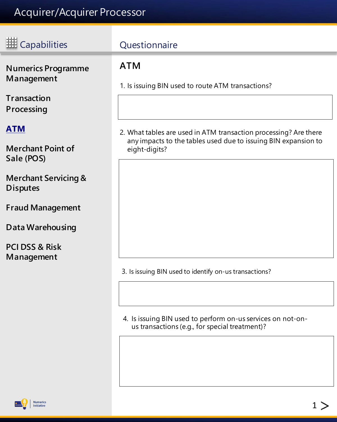<span id="page-6-0"></span>

| E Capabilities                                     | Questionnaire                                                                                                                      |
|----------------------------------------------------|------------------------------------------------------------------------------------------------------------------------------------|
| <b>Numerics Programme</b><br>Management            | <b>ATM</b><br>1. Is issuing BIN used to route ATM transactions?                                                                    |
| <b>Transaction</b><br>Processing                   |                                                                                                                                    |
| <b>ATM</b>                                         | 2. What tables are used in ATM transaction processing? Are there<br>any impacts to the tables used due to issuing BIN expansion to |
| <b>Merchant Point of</b><br>Sale (POS)             | eight-digits?                                                                                                                      |
| <b>Merchant Servicing &amp;</b><br><b>Disputes</b> |                                                                                                                                    |
| <b>Fraud Management</b>                            |                                                                                                                                    |
| Data Warehousing                                   |                                                                                                                                    |

**[PCI DSS & Risk](#page-15-0)  [Management](#page-15-0)**

3. Is issuing BIN used to identify on-us transactions?

4. Is issuing BIN used to perform on-us services on not-onus transactions (e.g., for special treatment)?

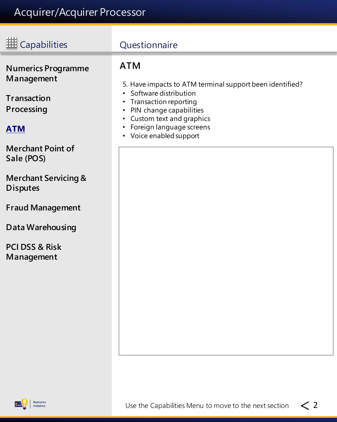<span id="page-7-0"></span>

| <b>HE</b> Capabilities                                                                                                | Questionnaire                                                                                                                                                                                                                                                                                                      |
|-----------------------------------------------------------------------------------------------------------------------|--------------------------------------------------------------------------------------------------------------------------------------------------------------------------------------------------------------------------------------------------------------------------------------------------------------------|
| <b>Numerics Programme</b><br>Management<br><b>Transaction</b><br>Processing<br><b>ATM</b><br><b>Merchant Point of</b> | <b>ATM</b><br>5. Have impacts to ATM terminal support been identified?<br>Software distribution<br>$\bullet$<br>Transaction reporting<br>$\bullet$<br>PIN change capabilities<br>$\bullet$<br>Custom text and graphics<br>$\bullet$<br>Foreign language screens<br>$\bullet$<br>Voice enabled support<br>$\bullet$ |
| Sale (POS)<br><b>Merchant Servicing &amp;</b><br><b>Disputes</b><br><b>Fraud Management</b>                           |                                                                                                                                                                                                                                                                                                                    |
| <b>Data Warehousing</b>                                                                                               |                                                                                                                                                                                                                                                                                                                    |
| <b>PCI DSS &amp; Risk</b><br>Management                                                                               |                                                                                                                                                                                                                                                                                                                    |

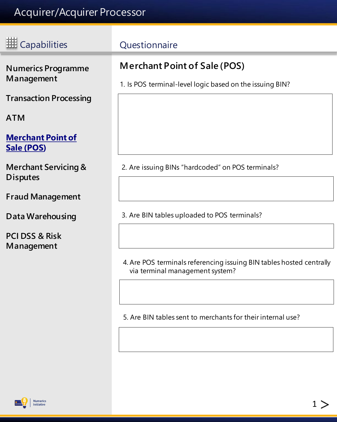÷

<span id="page-8-0"></span>

| <b>III</b> Capabilities                            | Questionnaire                                                                                   |  |  |
|----------------------------------------------------|-------------------------------------------------------------------------------------------------|--|--|
| <b>Numerics Programme</b><br>Management            | <b>Merchant Point of Sale (POS)</b><br>1. Is POS terminal-level logic based on the issuing BIN? |  |  |
| <b>Transaction Processing</b>                      |                                                                                                 |  |  |
| <b>ATM</b>                                         |                                                                                                 |  |  |
| <b>Merchant Point of</b><br>Sale (POS)             |                                                                                                 |  |  |
| <b>Merchant Servicing &amp;</b><br><b>Disputes</b> | 2. Are issuing BINs "hardcoded" on POS terminals?                                               |  |  |
| <b>Fraud Management</b>                            |                                                                                                 |  |  |
| <b>Data Warehousing</b>                            | 3. Are BIN tables uploaded to POS terminals?                                                    |  |  |
| <b>PCI DSS &amp; Risk</b><br>Management            |                                                                                                 |  |  |
|                                                    | 4. Are POS terminals referencing issuing BIN tables hosted centrally                            |  |  |

via terminal management system?

5. Are BIN tables sent to merchants for their internal use?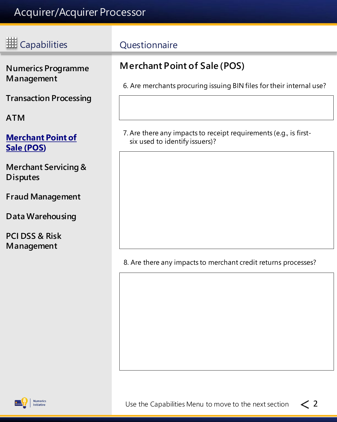<span id="page-9-0"></span>

| E Capabilities                                                           | Questionnaire                                                                                               |
|--------------------------------------------------------------------------|-------------------------------------------------------------------------------------------------------------|
| <b>Numerics Programme</b><br>Management<br><b>Transaction Processing</b> | <b>Merchant Point of Sale (POS)</b><br>6. Are merchants procuring issuing BIN files for their internal use? |
| <b>ATM</b>                                                               |                                                                                                             |
| <b>Merchant Point of</b><br>Sale (POS)                                   | 7. Are there any impacts to receipt requirements (e.g., is first-<br>six used to identify issuers)?         |
| <b>Merchant Servicing &amp;</b><br><b>Disputes</b>                       |                                                                                                             |
| <b>Fraud Management</b>                                                  |                                                                                                             |
| Data Warehousing                                                         |                                                                                                             |
| <b>PCI DSS &amp; Risk</b><br>Management                                  |                                                                                                             |

8. Are there any impacts to merchant credit returns processes?

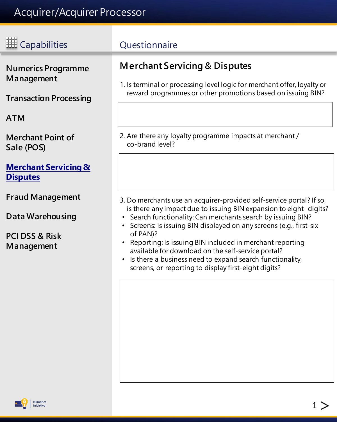<span id="page-10-0"></span>

| <b>HE Capabilities</b>                                                                 | Questionnaire                                                                                                                                                                                                                                                                                                                                                                                                                                                                                                                        |
|----------------------------------------------------------------------------------------|--------------------------------------------------------------------------------------------------------------------------------------------------------------------------------------------------------------------------------------------------------------------------------------------------------------------------------------------------------------------------------------------------------------------------------------------------------------------------------------------------------------------------------------|
| <b>Numerics Programme</b><br>Management<br><b>Transaction Processing</b>               | <b>Merchant Servicing &amp; Disputes</b><br>1. Is terminal or processing level logic for merchant offer, loyalty or<br>reward programmes or other promotions based on issuing BIN?                                                                                                                                                                                                                                                                                                                                                   |
| <b>ATM</b>                                                                             |                                                                                                                                                                                                                                                                                                                                                                                                                                                                                                                                      |
| <b>Merchant Point of</b><br>Sale (POS)                                                 | 2. Are there any loyalty programme impacts at merchant /<br>co-brand level?                                                                                                                                                                                                                                                                                                                                                                                                                                                          |
| <b>Merchant Servicing &amp;</b><br><b>Disputes</b>                                     |                                                                                                                                                                                                                                                                                                                                                                                                                                                                                                                                      |
| <b>Fraud Management</b><br>Data Warehousing<br><b>PCI DSS &amp; Risk</b><br>Management | 3. Do merchants use an acquirer-provided self-service portal? If so,<br>is there any impact due to issuing BIN expansion to eight-digits?<br>• Search functionality: Can merchants search by issuing BIN?<br>• Screens: Is issuing BIN displayed on any screens (e.g., first-six<br>of PAN)?<br>• Reporting: Is issuing BIN included in merchant reporting<br>available for download on the self-service portal?<br>Is there a business need to expand search functionality,<br>screens, or reporting to display first-eight digits? |
|                                                                                        |                                                                                                                                                                                                                                                                                                                                                                                                                                                                                                                                      |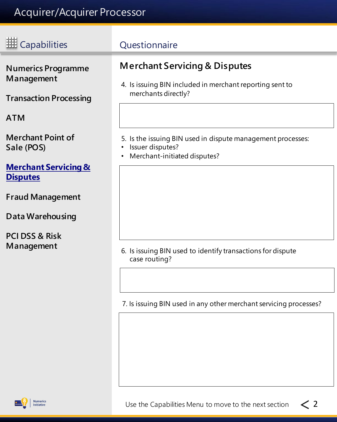÷

<span id="page-11-0"></span>

| <b>III</b> Capabilities                                                                                                          | Questionnaire                                                                                                                                                                                                  |
|----------------------------------------------------------------------------------------------------------------------------------|----------------------------------------------------------------------------------------------------------------------------------------------------------------------------------------------------------------|
| <b>Numerics Programme</b><br>Management<br><b>Transaction Processing</b><br><b>ATM</b><br><b>Merchant Point of</b><br>Sale (POS) | <b>Merchant Servicing &amp; Disputes</b><br>4. Is issuing BIN included in merchant reporting sent to<br>merchants directly?<br>5. Is the issuing BIN used in dispute management processes:<br>Issuer disputes? |
| <b>Merchant Servicing &amp;</b><br><b>Disputes</b><br><b>Fraud Management</b><br>Data Warehousing                                | Merchant-initiated disputes?                                                                                                                                                                                   |
| <b>PCI DSS &amp; Risk</b><br>Management                                                                                          | 6. Is issuing BIN used to identify transactions for dispute<br>case routing?                                                                                                                                   |

7. Is issuing BIN used in any other merchant servicing processes?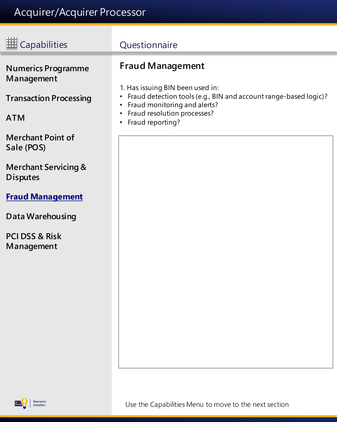# <span id="page-12-0"></span>EM Capabilities Questionnaire

**[Numerics Programme](#page-1-0)  [Management](#page-1-0)**

**[Transaction Processing](#page-4-0)**

**[ATM](#page-6-0)**

**[Merchant Point of](#page-8-0)  [Sale \(POS\)](#page-8-0)**

**[Merchant Servicing &](#page-10-0)  [Disputes](#page-10-0)**

#### **Fraud Management**

**[Data Warehousing](#page-13-0)**

**[PCI DSS & Risk](#page-15-0)  [Management](#page-15-0)**

#### **Fraud Management**

- 1. Has issuing BIN been used in:
- Fraud detection tools (e.g., BIN and account range-based logic)?
- Fraud monitoring and alerts?
- Fraud resolution processes?
- Fraud reporting?

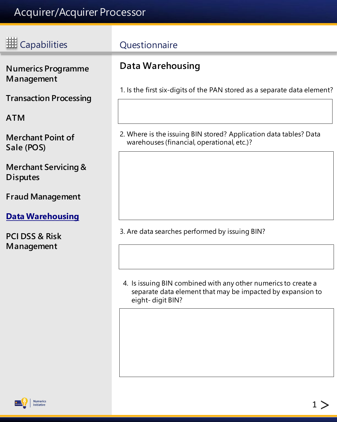<span id="page-13-0"></span>

| Capabilities                                       | Questionnaire                                                                                                                                    |
|----------------------------------------------------|--------------------------------------------------------------------------------------------------------------------------------------------------|
| <b>Numerics Programme</b><br>Management            | <b>Data Warehousing</b><br>1. Is the first six-digits of the PAN stored as a separate data element?                                              |
| <b>Transaction Processing</b><br><b>ATM</b>        |                                                                                                                                                  |
| <b>Merchant Point of</b><br>Sale (POS)             | 2. Where is the issuing BIN stored? Application data tables? Data<br>warehouses (financial, operational, etc.)?                                  |
| <b>Merchant Servicing &amp;</b><br><b>Disputes</b> |                                                                                                                                                  |
| <b>Fraud Management</b><br><b>Data Warehousing</b> |                                                                                                                                                  |
| <b>PCI DSS &amp; Risk</b><br>Management            | 3. Are data searches performed by issuing BIN?                                                                                                   |
|                                                    | 4. Is issuing BIN combined with any other numerics to create a<br>separate data element that may be impacted by expansion to<br>eight-digit BIN? |



**Numerics**<br>Initiative

 $1 >$  $1 >$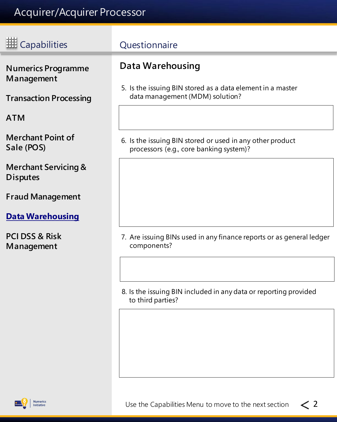ī

<span id="page-14-0"></span>

| <b> # Capabilities</b>                                                   | <b>Questionnaire</b>                                                                                              |
|--------------------------------------------------------------------------|-------------------------------------------------------------------------------------------------------------------|
| <b>Numerics Programme</b><br>Management<br><b>Transaction Processing</b> | Data Warehousing<br>5. Is the issuing BIN stored as a data element in a master<br>data management (MDM) solution? |
| <b>ATM</b>                                                               |                                                                                                                   |
| <b>Merchant Point of</b><br>Sale (POS)                                   | 6. Is the issuing BIN stored or used in any other product<br>processors (e.g., core banking system)?              |
| <b>Merchant Servicing &amp;</b><br><b>Disputes</b>                       |                                                                                                                   |
| <b>Fraud Management</b>                                                  |                                                                                                                   |
| <b>Data Warehousing</b>                                                  |                                                                                                                   |
| <b>PCI DSS &amp; Risk</b><br>Management                                  | 7. Are issuing BINs used in any finance reports or as general ledger<br>components?                               |
|                                                                          |                                                                                                                   |
|                                                                          | 8. Is the issuing BIN included in any data or reporting provided<br>to third parties?                             |
|                                                                          |                                                                                                                   |